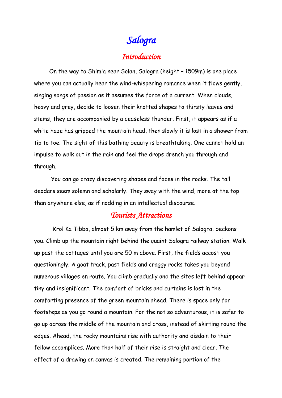## *Salogra*

## *Introduction*

 On the way to Shimla near Solan, Salogra (height – 1509m) is one place where you can actually hear the wind-whispering romance when it flows gently, singing songs of passion as it assumes the force of a current. When clouds, heavy and grey, decide to loosen their knotted shapes to thirsty leaves and stems, they are accompanied by a ceaseless thunder. First, it appears as if a white haze has gripped the mountain head, then slowly it is lost in a shower from tip to toe. The sight of this bathing beauty is breathtaking. One cannot hold an impulse to walk out in the rain and feel the drops drench you through and through.

 You can go crazy discovering shapes and faces in the rocks. The tall deodars seem solemn and scholarly. They sway with the wind, more at the top than anywhere else, as if nodding in an intellectual discourse.

## *Tourists Attractions*

 Krol Ka Tibba, almost 5 km away from the hamlet of Salogra, beckons you. Climb up the mountain right behind the quaint Salogra railway station. Walk up past the cottages until you are 50 m above. First, the fields accost you questioningly. A goat track, past fields and craggy rocks takes you beyond numerous villages en route. You climb gradually and the sites left behind appear tiny and insignificant. The comfort of bricks and curtains is lost in the comforting presence of the green mountain ahead. There is space only for footsteps as you go round a mountain. For the not so adventurous, it is safer to go up across the middle of the mountain and cross, instead of skirting round the edges. Ahead, the rocky mountains rise with authority and disdain to their fellow accomplices. More than half of their rise is straight and clear. The effect of a drawing on canvas is created. The remaining portion of the